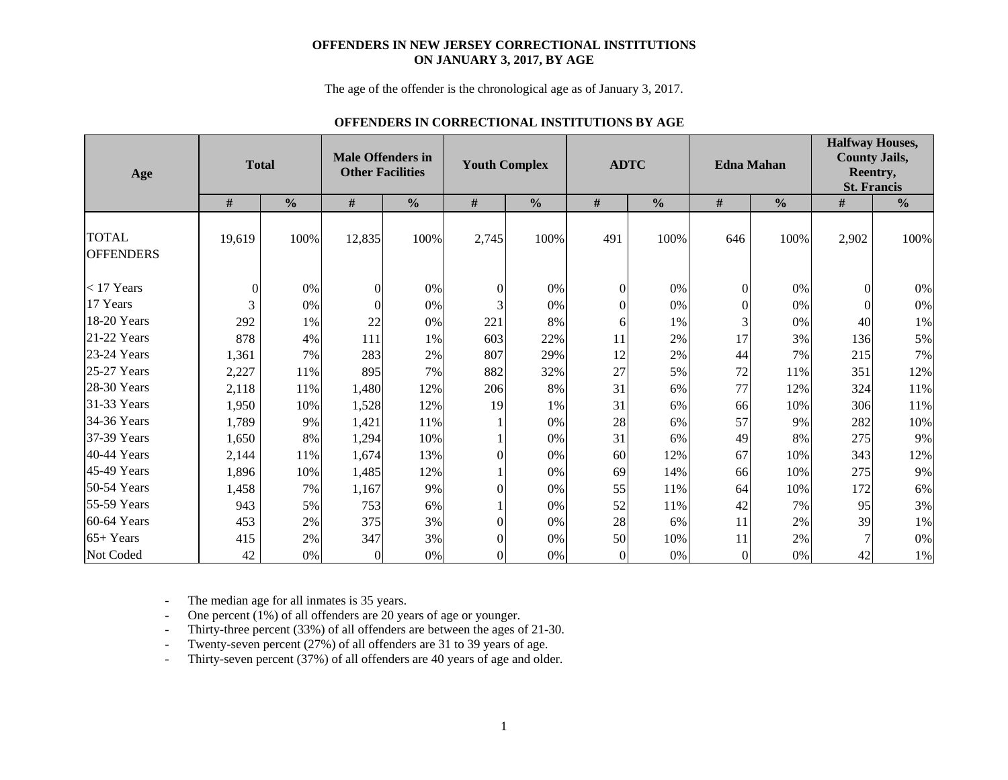#### **OFFENDERS IN NEW JERSEY CORRECTIONAL INSTITUTIONS ON JANUARY 3, 2017, BY AGE**

The age of the offender is the chronological age as of January 3, 2017.

#### **OFFENDERS IN CORRECTIONAL INSTITUTIONS BY AGE**

| Age                              | <b>Total</b> |               | <b>Male Offenders in</b><br><b>Other Facilities</b> |               | <b>Youth Complex</b> |               |                | <b>ADTC</b>   |                | <b>Edna Mahan</b> | <b>Halfway Houses,</b><br><b>County Jails,</b><br>Reentry,<br><b>St. Francis</b> |               |
|----------------------------------|--------------|---------------|-----------------------------------------------------|---------------|----------------------|---------------|----------------|---------------|----------------|-------------------|----------------------------------------------------------------------------------|---------------|
|                                  | $\#$         | $\frac{0}{0}$ | $\#$                                                | $\frac{0}{0}$ | $\#$                 | $\frac{0}{0}$ | $\#$           | $\frac{0}{0}$ | $\#$           | $\frac{0}{0}$     | $\#$                                                                             | $\frac{0}{0}$ |
| <b>TOTAL</b><br><b>OFFENDERS</b> | 19,619       | 100%          | 12,835                                              | 100%          | 2,745                | 100%          | 491            | 100%          | 646            | 100%              | 2,902                                                                            | 100%          |
| $<$ 17 Years                     | $\theta$     | 0%            | $\theta$                                            | 0%            | $\mathbf{0}$         | 0%            | $\overline{0}$ | 0%            | $\overline{0}$ | 0%                | $\Omega$                                                                         | $0\%$         |
| 17 Years                         | 3            | 0%            | $\theta$                                            | 0%            | 3                    | 0%            | $\theta$       | 0%            | $\overline{0}$ | 0%                | $\Omega$                                                                         | $0\%$         |
| 18-20 Years                      | 292          | 1%            | 22                                                  | 0%            | 221                  | 8%            | 6              | 1%            | 3              | 0%                | 40                                                                               | 1%            |
| 21-22 Years                      | 878          | 4%            | 111                                                 | 1%            | 603                  | 22%           | 11             | 2%            | 17             | 3%                | 136                                                                              | 5%            |
| 23-24 Years                      | 1,361        | 7%            | 283                                                 | 2%            | 807                  | 29%           | 12             | 2%            | 44             | 7%                | 215                                                                              | 7%            |
| $25-27$ Years                    | 2,227        | 11%           | 895                                                 | 7%            | 882                  | 32%           | 27             | 5%            | 72             | 11%               | 351                                                                              | 12%           |
| $28-30$ Years                    | 2,118        | 11%           | 1,480                                               | 12%           | 206                  | 8%            | 31             | 6%            | 77             | 12%               | 324                                                                              | 11%           |
| 31-33 Years                      | 1,950        | 10%           | 1,528                                               | 12%           | 19                   | 1%            | 31             | 6%            | 66             | 10%               | 306                                                                              | 11%           |
| 34-36 Years                      | 1,789        | 9%            | 1,421                                               | 11%           |                      | 0%            | 28             | 6%            | 57             | 9%                | 282                                                                              | 10%           |
| 37-39 Years                      | 1,650        | 8%            | 1,294                                               | 10%           |                      | 0%            | 31             | 6%            | 49             | 8%                | 275                                                                              | 9%            |
| 40-44 Years                      | 2,144        | 11%           | 1,674                                               | 13%           | $\Omega$             | 0%            | 60             | 12%           | 67             | 10%               | 343                                                                              | 12%           |
| 45-49 Years                      | 1,896        | 10%           | 1,485                                               | 12%           |                      | 0%            | 69             | 14%           | 66             | 10%               | 275                                                                              | 9%            |
| $50-54$ Years                    | 1,458        | 7%            | 1,167                                               | 9%            | $\theta$             | 0%            | 55             | 11%           | 64             | 10%               | 172                                                                              | 6%            |
| 55-59 Years                      | 943          | 5%            | 753                                                 | 6%            |                      | 0%            | 52             | 11%           | 42             | 7%                | 95                                                                               | 3%            |
| 60-64 Years                      | 453          | 2%            | 375                                                 | 3%            | $\Omega$             | 0%            | 28             | 6%            | 11             | 2%                | 39                                                                               | 1%            |
| $65+Years$                       | 415          | 2%            | 347                                                 | 3%            | $\theta$             | 0%            | 50             | 10%           | 11             | 2%                |                                                                                  | $0\%$         |
| Not Coded                        | 42           | 0%            | $\Omega$                                            | 0%            | $\Omega$             | 0%            | $\Omega$       | $0\%$         | $\Omega$       | 0%                | 42                                                                               | $1\%$         |

-The median age for all inmates is 35 years.

-One percent (1%) of all offenders are 20 years of age or younger.

-Thirty-three percent (33%) of all offenders are between the ages of 21-30.

-Twenty-seven percent (27%) of all offenders are 31 to 39 years of age.

-Thirty-seven percent (37%) of all offenders are 40 years of age and older.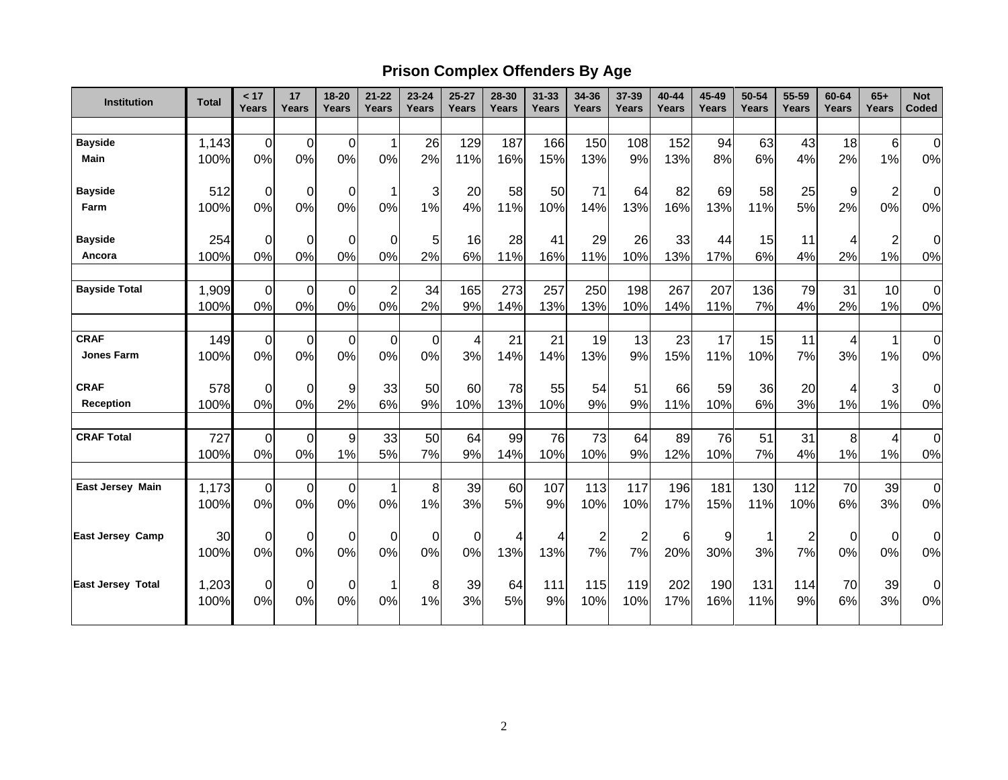# **Prison Complex Offenders By Age**

| Institution              | <b>Total</b> | < 17<br>Years  | 17<br>Years | 18-20<br>Years   | $21 - 22$<br><b>Years</b> | $23 - 24$<br>Years | $25 - 27$<br>Years | 28-30<br>Years | $31 - 33$<br>Years | 34-36<br>Years | 37-39<br>Years          | 40-44<br>Years | 45-49<br>Years | 50-54<br>Years | 55-59<br>Years | 60-64<br>Years | $65+$<br>Years          | <b>Not</b><br>Coded |
|--------------------------|--------------|----------------|-------------|------------------|---------------------------|--------------------|--------------------|----------------|--------------------|----------------|-------------------------|----------------|----------------|----------------|----------------|----------------|-------------------------|---------------------|
|                          |              |                |             |                  |                           |                    |                    |                |                    |                |                         |                |                |                |                |                |                         |                     |
| <b>Bayside</b>           | 1,143        | $\overline{0}$ | $\mathbf 0$ | $\mathbf 0$      | $\mathbf{1}$              | 26                 | 129                | 187            | 166                | 150            | 108                     | 152            | 94             | 63             | 43             | 18             | $6\phantom{1}6$         | $\mathbf 0$         |
| <b>Main</b>              | 100%         | 0%             | 0%          | 0%               | 0%                        | 2%                 | 11%                | 16%            | 15%                | 13%            | 9%                      | 13%            | 8%             | 6%             | 4%             | 2%             | 1%                      | 0%                  |
| <b>Bayside</b>           | 512          | 0              | $\mathbf 0$ | 0                | 1                         | 3                  | 20                 | 58             | 50                 | 71             | 64                      | 82             | 69             | 58             | 25             | 9              | $\overline{\mathbf{c}}$ | 0                   |
| Farm                     | 100%         | 0%             | 0%          | 0%               | 0%                        | 1%                 | 4%                 | 11%            | 10%                | 14%            | 13%                     | 16%            | 13%            | 11%            | 5%             | 2%             | 0%                      | 0%                  |
| <b>Bayside</b>           | 254          | $\mathbf 0$    | $\mathbf 0$ | $\mathbf 0$      | $\Omega$                  | 5                  | 16                 | 28             | 41                 | 29             | 26                      | 33             | 44             | 15             | 11             | 4              | $\overline{\mathbf{c}}$ | 0                   |
| Ancora                   | 100%         | 0%             | 0%          | 0%               | 0%                        | 2%                 | 6%                 | 11%            | 16%                | 11%            | 10%                     | 13%            | 17%            | 6%             | 4%             | 2%             | 1%                      | 0%                  |
| <b>Bayside Total</b>     | 1,909        | $\mathbf 0$    | $\mathbf 0$ | $\mathbf 0$      | $\overline{2}$            | 34                 | 165                | 273            | 257                | 250            | 198                     | 267            | 207            | 136            | 79             | 31             | 10                      | $\boldsymbol{0}$    |
|                          | 100%         | 0%             | 0%          | 0%               | 0%                        | 2%                 | 9%                 | 14%            | 13%                | 13%            | 10%                     | 14%            | 11%            | 7%             | 4%             | 2%             | 1%                      | 0%                  |
| <b>CRAF</b>              | 149          | $\mathbf 0$    | $\mathbf 0$ | 0                | 0                         | 0                  | $\overline{4}$     | 21             | 21                 | 19             | 13                      | 23             | 17             | 15             | 11             | 4              | 1                       | $\mathbf 0$         |
| <b>Jones Farm</b>        | 100%         | 0%             | 0%          | 0%               | 0%                        | 0%                 | 3%                 | 14%            | 14%                | 13%            | 9%                      | 15%            | 11%            | 10%            | 7%             | 3%             | 1%                      | 0%                  |
| <b>CRAF</b>              | 578          | $\mathbf 0$    | $\mathbf 0$ | 9                | 33                        | 50                 | 60                 | 78             | 55                 | 54             | 51                      | 66             | 59             | 36             | 20             | 4              | 3                       | $\mathbf 0$         |
| <b>Reception</b>         | 100%         | 0%             | 0%          | 2%               | 6%                        | 9%                 | 10%                | 13%            | 10%                | 9%             | 9%                      | 11%            | 10%            | 6%             | 3%             | 1%             | 1%                      | 0%                  |
| <b>CRAF Total</b>        | 727          | $\overline{0}$ | $\mathbf 0$ | $\boldsymbol{9}$ | 33                        | 50                 | 64                 | 99             | 76                 | 73             | 64                      | 89             | 76             | 51             | 31             | 8              | 4                       | $\pmb{0}$           |
|                          | 100%         | 0%             | 0%          | 1%               | 5%                        | 7%                 | 9%                 | 14%            | 10%                | 10%            | 9%                      | 12%            | 10%            | 7%             | 4%             | 1%             | 1%                      | 0%                  |
| East Jersey Main         | 1,173        | $\overline{0}$ | $\mathbf 0$ | $\mathbf 0$      | $\mathbf 1$               | 8                  | 39                 | 60             | 107                | 113            | 117                     | 196            | 181            | 130            | 112            | 70             | 39                      | $\mathbf 0$         |
|                          | 100%         | 0%             | 0%          | 0%               | 0%                        | 1%                 | 3%                 | 5%             | 9%                 | 10%            | 10%                     | 17%            | 15%            | 11%            | 10%            | 6%             | 3%                      | 0%                  |
| <b>East Jersey Camp</b>  | 30           | $\mathbf 0$    | $\mathbf 0$ | 0                | $\mathbf 0$               | $\mathbf 0$        | $\mathbf 0$        | 4              | 4                  | $\overline{c}$ | $\overline{\mathbf{c}}$ | 6              | 9              |                | $\overline{2}$ | 0              | $\boldsymbol{0}$        | 0                   |
|                          | 100%         | 0%             | 0%          | 0%               | 0%                        | 0%                 | 0%                 | 13%            | 13%                | 7%             | 7%                      | 20%            | 30%            | 3%             | 7%             | 0%             | 0%                      | 0%                  |
| <b>East Jersey Total</b> | 1,203        | 0              | 0           | 0                | -1                        | 8                  | 39                 | 64             | 111                | 115            | 119                     | 202            | 190            | 131            | 114            | 70             | 39                      | $\Omega$            |
|                          | 100%         | 0%             | 0%          | 0%               | 0%                        | 1%                 | 3%                 | 5%             | 9%                 | 10%            | 10%                     | 17%            | 16%            | 11%            | 9%             | 6%             | 3%                      | 0%                  |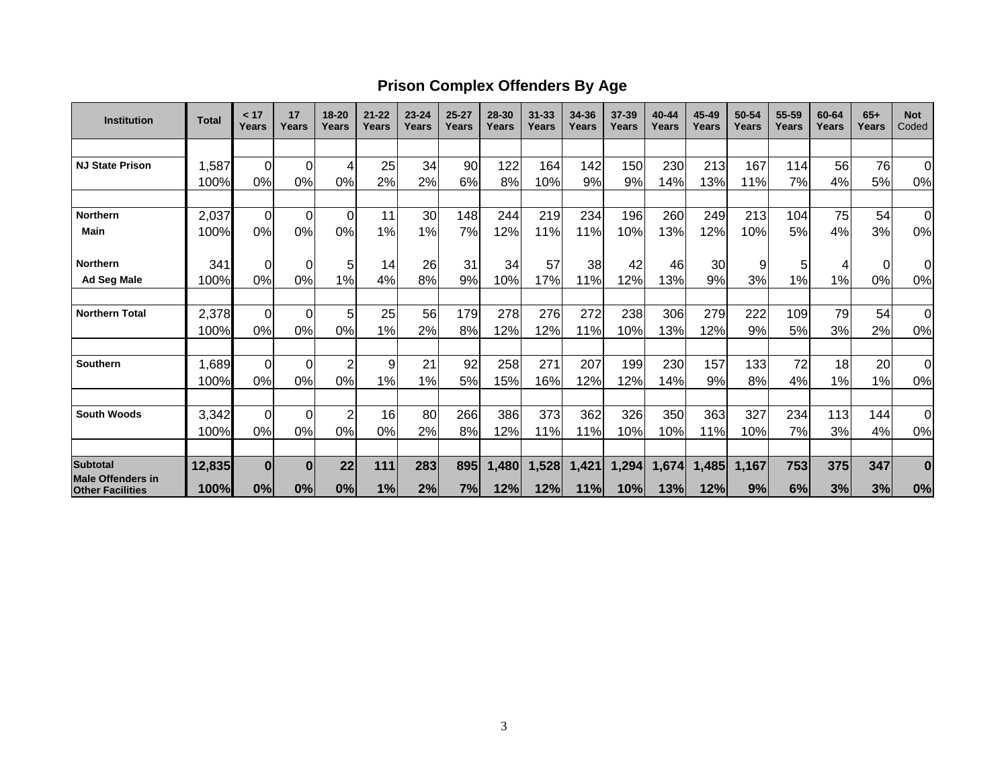## **Prison Complex Offenders By Age**

| <b>Institution</b>                                  | <b>Total</b> | < 17<br>Years | 17<br>Years    | 18-20<br>Years | $21 - 22$<br>Years | $23 - 24$<br>Years | $25 - 27$<br>Years | 28-30<br>Years | $31 - 33$<br>Years | 34-36<br>Years | 37-39<br>Years | 40-44<br>Years | 45-49<br>Years | 50-54<br>Years | 55-59<br>Years | 60-64<br>Years | $65+$<br>Years | <b>Not</b><br>Coded |
|-----------------------------------------------------|--------------|---------------|----------------|----------------|--------------------|--------------------|--------------------|----------------|--------------------|----------------|----------------|----------------|----------------|----------------|----------------|----------------|----------------|---------------------|
|                                                     |              |               |                |                |                    |                    |                    |                |                    |                |                |                |                |                |                |                |                |                     |
| <b>NJ State Prison</b>                              | 1,587        | $\Omega$      | $\overline{0}$ | 4              | 25                 | 34                 | 90                 | 122            | 164                | 142            | 150            | 230            | 213            | 167            | 114            | 56             | 76             | $\overline{0}$      |
|                                                     | 100%         | 0%            | 0%             | 0%             | 2%                 | 2%                 | 6%                 | 8%             | 10%                | 9%             | 9%             | 14%            | 13%            | 11%            | 7%             | 4%             | 5%             | 0%                  |
|                                                     |              |               |                |                |                    |                    |                    |                |                    |                |                |                |                |                |                |                |                |                     |
| <b>Northern</b>                                     | 2,037        | $\Omega$      | $\overline{0}$ | $\Omega$       | 11                 | 30                 | 148                | 244            | 219                | 234            | 196            | 260            | 249            | 213            | 104            | 75             | 54             | $\mathbf 0$         |
| Main                                                | 100%         | 0%            | 0%             | 0%             | 1%                 | 1%                 | 7%                 | 12%            | 11%                | 11%            | 10%            | 13%            | 12%            | 10%            | 5%             | 4%             | 3%             | 0%                  |
| <b>Northern</b>                                     | 341          | 0             | $\Omega$       | 5              | 14                 | 26                 | 31                 | 34             | 57                 | 38             | 42             | 46             | 30             | 9              | 5              | 4              | 0              | $\Omega$            |
| <b>Ad Seg Male</b>                                  | 100%         | 0%            | 0%             | 1%             | 4%                 | 8%                 | 9%                 | 10%            | 17%                | 11%            | 12%            | 13%            | 9%             | 3%             | 1%             | 1%             | 0%             | 0%                  |
| <b>Northern Total</b>                               |              |               |                |                |                    |                    |                    |                |                    |                |                |                |                |                |                |                |                |                     |
|                                                     | 2,378        | $\Omega$      | $\overline{O}$ | 5              | 25                 | 56                 | 179                | 278            | 276                | 272            | 238            | 306            | 279            | 222            | 109            | 79             | 54             | $\mathbf 0$         |
|                                                     | 100%         | 0%            | 0%             | 0%             | 1%                 | 2%                 | 8%                 | 12%            | 12%                | 11%            | 10%            | 13%            | 12%            | 9%             | 5%             | 3%             | 2%             | 0%                  |
| <b>Southern</b>                                     | 1,689        | $\Omega$      | $\overline{0}$ | $\overline{2}$ | 9                  | 21                 | 92                 | 258            | 271                | 207            | 199            | 230            | 157            | 133            | 72             | 18             | 20             | $\overline{0}$      |
|                                                     | 100%         | 0%            | 0%             | 0%             | 1%                 | 1%                 | 5%                 | 15%            | 16%                | 12%            | 12%            | 14%            | 9%             | 8%             | 4%             | 1%             | 1%             | 0%                  |
| <b>South Woods</b>                                  | 3,342        | $\Omega$      | $\overline{0}$ | $\overline{2}$ | 16                 | 80                 | 266                | 386            | 373                | 362            | 326            | 350            | 363            | 327            | 234            | 113            | 144            | $\Omega$            |
|                                                     | 100%         | 0%            | 0%             | 0%             | 0%                 | 2%                 | 8%                 | 12%            | 11%                | 11%            | 10%            | 10%            | 11%            | 10%            | 7%             | 3%             | 4%             | 0%                  |
|                                                     |              |               |                |                |                    |                    |                    |                |                    |                |                |                |                |                |                |                |                |                     |
| <b>Subtotal</b>                                     | 12,835       | $\bf{0}$      | $\bf{0}$       | 22             | 111                | 283                | 895                | 1,480          | 1,528              | 1,421          | 1,294          | 1,674          | 1,485          | 1,167          | 753            | 375            | 347            | $\bf{0}$            |
| <b>Male Offenders in</b><br><b>Other Facilities</b> | 100%         | 0%            | 0%             | 0%             | 1%                 | 2%                 | 7%                 | 12%            | 12%                | 11%            | 10%            | 13%            | 12%            | 9%             | 6%             | 3%             | 3%             | 0%                  |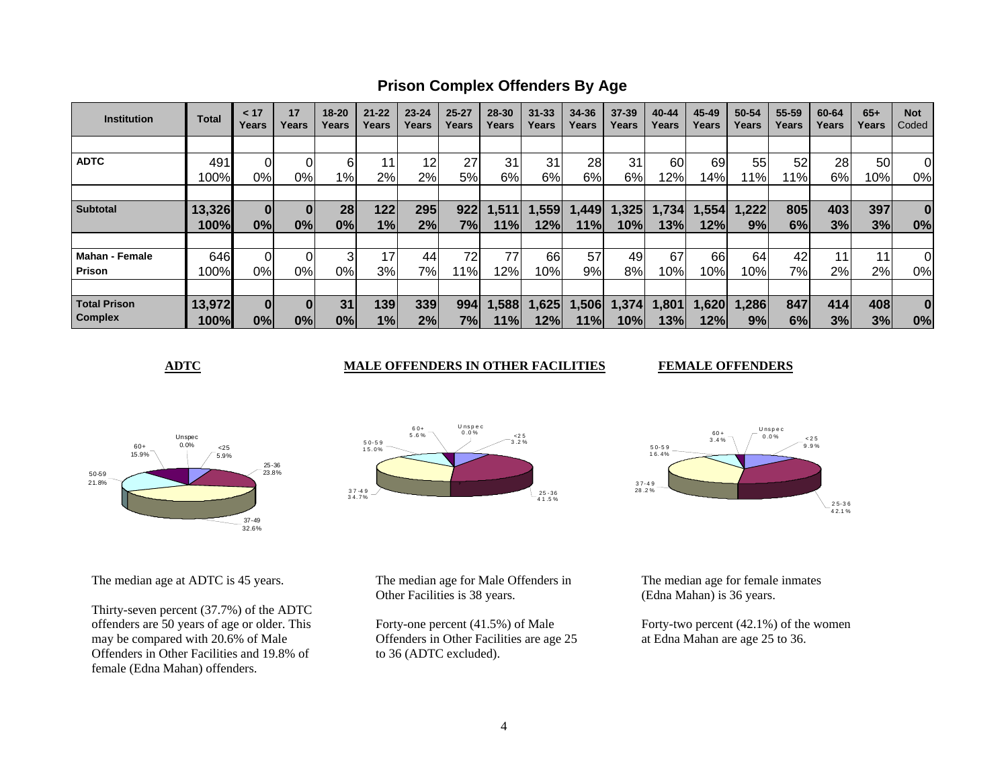**Prison Complex Offenders By Age**

| <b>Institution</b>  | <b>Total</b> | < 17<br>Years | 17<br>Years | $18 - 20$<br>Years | $21 - 22$<br>Years | $23 - 24$<br>Years | $25 - 27$<br>Years | 28-30<br>Years | $31 - 33$<br>Years | 34-36<br>Years | 37-39<br>Years | 40-44<br>Years | 45-49<br>Years | 50-54<br>Years | 55-59<br>Years | 60-64<br>Years | $65+$<br>Years | <b>Not</b><br>Coded |
|---------------------|--------------|---------------|-------------|--------------------|--------------------|--------------------|--------------------|----------------|--------------------|----------------|----------------|----------------|----------------|----------------|----------------|----------------|----------------|---------------------|
|                     |              |               |             |                    |                    |                    |                    |                |                    |                |                |                |                |                |                |                |                |                     |
| <b>ADTC</b>         | 491          |               |             | 6                  |                    | 12                 | 27                 | 31             | 31                 | 28             | 31             | 60             | 69             | 55             | 52             | 28             | 50             | 0                   |
|                     | 100%         | 0%            | 0%l         | 1%                 | 2%                 | 2%                 | 5%                 | 6%             | 6%                 | 6%             | 6%             | 2%             | 14%            | 1%             | 1%             | 6%             | 10%            | 0%                  |
|                     |              |               |             |                    |                    |                    |                    |                |                    |                |                |                |                |                |                |                |                |                     |
| <b>Subtotal</b>     | 13,326       | $\bf{0}$      |             | 28                 | 122                | 295                | 922                | ,511           | ,559               | ,449           | .325           | 1,734          | , 554          | 1,222          | 805            | 403            | 397            | $\bf{0}$            |
|                     | 100%         | 0%            | 0%          | 0%                 | 1%                 | 2%                 | 7%                 | 11%            | 12%                | 11%            | 10%            | 13%            | 12%            | 9%             | 6%             | 3%             | 3%             | 0%                  |
|                     |              |               |             |                    |                    |                    |                    |                |                    |                |                |                |                |                |                |                |                |                     |
| Mahan - Female      | 646          |               |             | 3                  | 17 <sub>l</sub>    | 44                 | 72                 | 77             | 66                 | 57             | 49             | 67             | 66             | 64             | 42             | 11             | 11             | 0                   |
| <b>Prison</b>       | 100%         | 0%            | 0%l         | 0%l                | 3%                 | 7%                 | 11%                | 12%            | 10%                | 9%             | 8%             | 10%            | 10%            | 10%            | 7%             | 2%             | 2%             | 0%                  |
|                     |              |               |             |                    |                    |                    |                    |                |                    |                |                |                |                |                |                |                |                |                     |
| <b>Total Prison</b> | 13,972       |               |             | 31                 | 139                | 339                | 994                | 1,588          | 1,625              | 1,506          | 1,374          | 1,801          | 1,620          | 1,286          | 847            | 414            | 408            | $\bf{0}$            |
| <b>Complex</b>      | 100%         | 0%            | 0%          | 0%                 | 1%                 | 2%                 | 7%l                | 11%            | 12%                | 11%            | 10%            | 13%            | 12%            | 9%             | 6%             | 3%             | 3%             | 0%                  |

**ADTC** MALE OFFENDERS IN OTHER FACILITIES

**FEMALE OFFENDERS** 



The median age at ADTC is 45 years.

Thirty-seven percent (37.7%) of the ADTC offenders are 50 years of age or older. This may be compared with 20.6% of Male Offenders in Other Facilities and 19.8% of female (Edna Mahan) offenders.





The median age for Male Offenders in Other Facilities is 38 years.

Forty-one percent (41.5%) of Male Offenders in Other Facilities are age 25 to 36 (ADTC excluded).

The median age for female inmates (Edna Mahan) is 36 years.

Forty-two percent (42.1%) of the women at Edna Mahan are age 25 to 36.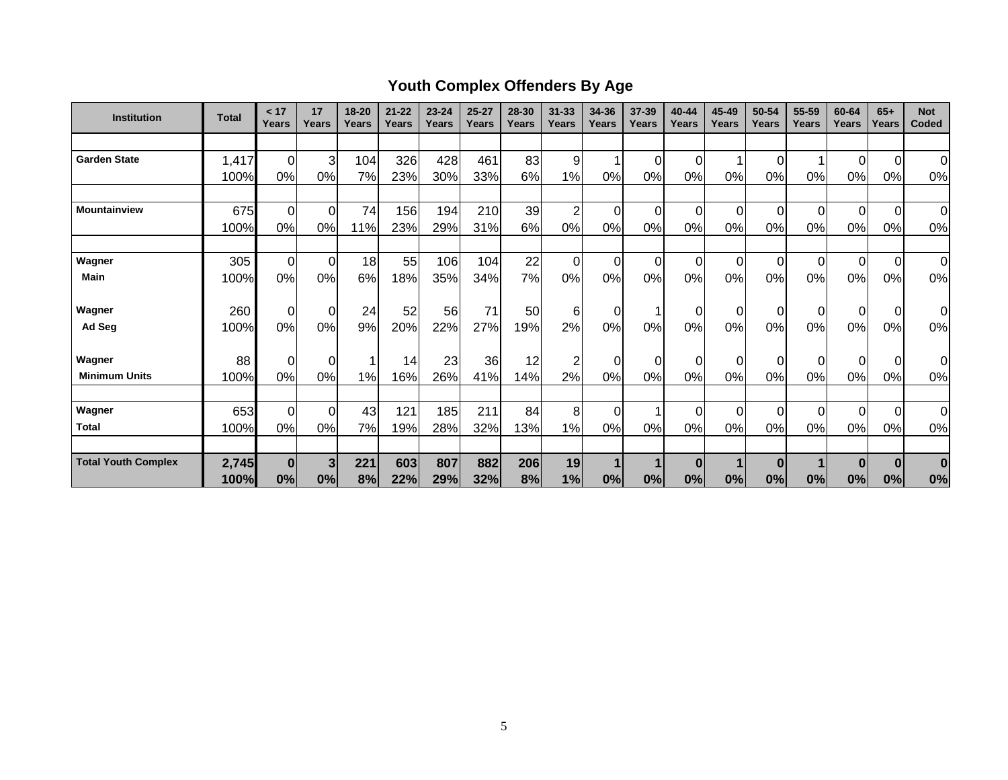# **Youth Complex Offenders By Age**

| <b>Institution</b>         | <b>Total</b> | < 17<br>Years | 17<br>Years    | $18 - 20$<br>Years | $21 - 22$<br>Years | $23 - 24$<br>Years | $25 - 27$<br>Years | 28-30<br>Years | $31 - 33$<br>Years | 34-36<br>Years | 37-39<br>Years | 40-44<br>Years | 45-49<br>Years | 50-54<br>Years | 55-59<br>Years | 60-64<br>Years | $65+$<br>Years   | <b>Not</b><br>Coded |
|----------------------------|--------------|---------------|----------------|--------------------|--------------------|--------------------|--------------------|----------------|--------------------|----------------|----------------|----------------|----------------|----------------|----------------|----------------|------------------|---------------------|
|                            |              |               |                |                    |                    |                    |                    |                |                    |                |                |                |                |                |                |                |                  |                     |
| <b>Garden State</b>        | 1,417        | 0             | $\overline{3}$ | 104                | 326                | 428                | 461                | 83             | 9                  | 1              | $\overline{0}$ | 0              |                | $\mathbf 0$    |                | 0              | $\overline{0}$   | $\overline{0}$      |
|                            | 100%         | 0%            | 0%             | 7%                 | 23%                | 30%                | 33%                | 6%             | 1%                 | 0%             | 0%             | 0%             | 0%             | 0%             | $0\%$          | 0%             | 0%               | 0%                  |
|                            |              |               |                |                    |                    |                    |                    |                |                    |                |                |                |                |                |                |                |                  |                     |
| <b>Mountainview</b>        | 675          | $\mathbf 0$   | $\overline{0}$ | 74                 | 156                | 194                | 210                | 39             | $\overline{2}$     | $\overline{0}$ | $\Omega$       | $\Omega$       | $\Omega$       | 0              | $\Omega$       | $\Omega$       | $\overline{0}$   | $\overline{0}$      |
|                            | 100%         | 0%            | 0%             | 11%                | 23%                | 29%                | 31%                | 6%             | 0%                 | 0%             | 0%             | 0%             | 0%             | 0%             | 0%             | 0%             | 0%               | 0%                  |
|                            |              |               |                |                    |                    |                    |                    |                |                    |                |                |                |                |                |                |                |                  |                     |
| Wagner                     | 305          | $\mathbf 0$   | $\overline{0}$ | 18                 | 55                 | 106                | 104                | 22             | $\mathbf 0$        | $\overline{0}$ | $\overline{0}$ | $\Omega$       | $\Omega$       | $\mathbf 0$    | $\Omega$       | $\Omega$       | $\overline{0}$   | 0                   |
| <b>Main</b>                | 100%         | 0%            | 0%             | 6%                 | 18%                | 35%                | 34%                | 7%             | 0%                 | 0%             | 0%             | 0%             | 0%             | 0%             | 0%             | 0%             | 0%               | 0%                  |
|                            |              |               |                |                    |                    |                    |                    |                |                    |                |                |                |                |                |                |                |                  |                     |
| Wagner                     | 260          | $\mathbf 0$   | $\overline{0}$ | 24                 | 52                 | 56                 | 71                 | 50             | 6                  | $\overline{0}$ |                | 0              | 0              | $\mathbf 0$    | 0              | 0              | $\overline{0}$   | 0l                  |
| Ad Seg                     | 100%         | 0%            | 0%             | 9%                 | 20%                | 22%                | 27%                | 19%            | 2%                 | 0%             | 0%             | 0%             | 0%             | 0%             | 0%             | 0%             | 0%               | 0%                  |
| Wagner                     | 88           | $\mathbf 0$   | $\Omega$       |                    | 14                 | 23                 | 36                 | 12             | $\overline{c}$     | $\overline{0}$ | $\Omega$       | $\Omega$       | $\Omega$       | 0              | $\Omega$       | $\Omega$       | $\overline{0}$   | $\overline{0}$      |
| <b>Minimum Units</b>       | 100%         | 0%            | 0%             | 1%                 | 16%                | 26%                | 41%                | 14%            | 2%                 | 0%             | 0%             | 0%             | 0%             | 0%             | 0%             | 0%             | 0%               | 0%                  |
|                            |              |               |                |                    |                    |                    |                    |                |                    |                |                |                |                |                |                |                |                  |                     |
| Wagner                     | 653          | $\mathbf 0$   | $\overline{0}$ | 43                 | 121                | 185                | 211                | 84             | 8                  | $\overline{0}$ |                | $\Omega$       | $\Omega$       | $\mathbf 0$    | 0              | $\Omega$       | $\overline{0}$   | $\overline{0}$      |
| <b>Total</b>               | 100%         | 0%            | 0%             | 7%                 | 19%                | 28%                | 32%                | 13%            | 1%                 | 0%             | 0%             | 0%             | 0%             | 0%             | 0%             | 0%             | 0%               | 0%                  |
|                            |              |               |                |                    |                    |                    |                    |                |                    |                |                |                |                |                |                |                |                  |                     |
| <b>Total Youth Complex</b> | 2,745        | $\bf{0}$      | 3 <sub>l</sub> | 221                | 603                | 807                | 882                | 206            | 19                 | $\mathbf{1}$   |                | $\bf{0}$       |                | $\bf{0}$       |                | $\bf{0}$       | $\boldsymbol{0}$ | $\bf{0}$            |
|                            | 100%         | 0%            | 0%             | 8%                 | 22%                | 29%                | 32%                | 8%             | 1%                 | 0%             | 0%             | 0%             | 0%             | 0%             | 0%             | 0%             | 0%               | 0%                  |